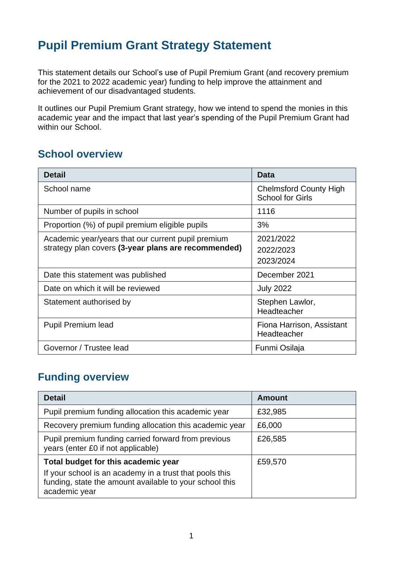# **Pupil Premium Grant Strategy Statement**

This statement details our School's use of Pupil Premium Grant (and recovery premium for the 2021 to 2022 academic year) funding to help improve the attainment and achievement of our disadvantaged students.

It outlines our Pupil Premium Grant strategy, how we intend to spend the monies in this academic year and the impact that last year's spending of the Pupil Premium Grant had within our School.

### **School overview**

| <b>Detail</b>                                       | Data                                                     |
|-----------------------------------------------------|----------------------------------------------------------|
| School name                                         | <b>Chelmsford County High</b><br><b>School for Girls</b> |
| Number of pupils in school                          | 1116                                                     |
| Proportion (%) of pupil premium eligible pupils     | 3%                                                       |
| Academic year/years that our current pupil premium  | 2021/2022                                                |
| strategy plan covers (3-year plans are recommended) | 2022/2023                                                |
|                                                     | 2023/2024                                                |
| Date this statement was published                   | December 2021                                            |
| Date on which it will be reviewed                   | <b>July 2022</b>                                         |
| Statement authorised by                             | Stephen Lawlor,                                          |
|                                                     | Headteacher                                              |
| <b>Pupil Premium lead</b>                           | Fiona Harrison, Assistant<br>Headteacher                 |
| Governor / Trustee lead                             | Funmi Osilaja                                            |

### **Funding overview**

| <b>Detail</b>                                                                                                                                                              | Amount  |
|----------------------------------------------------------------------------------------------------------------------------------------------------------------------------|---------|
| Pupil premium funding allocation this academic year                                                                                                                        | £32,985 |
| Recovery premium funding allocation this academic year                                                                                                                     | £6,000  |
| Pupil premium funding carried forward from previous<br>years (enter £0 if not applicable)                                                                                  | £26,585 |
| Total budget for this academic year<br>If your school is an academy in a trust that pools this<br>funding, state the amount available to your school this<br>academic year | £59,570 |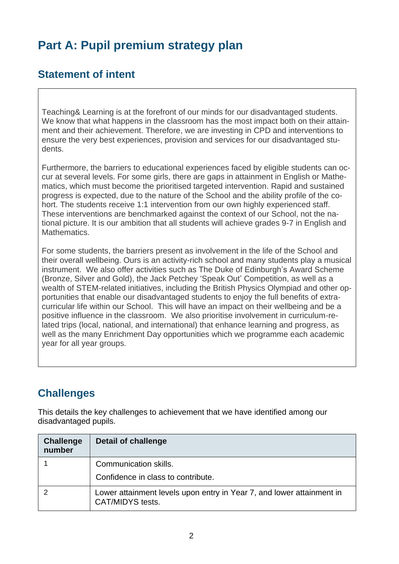# **Part A: Pupil premium strategy plan**

### **Statement of intent**

Teaching& Learning is at the forefront of our minds for our disadvantaged students. We know that what happens in the classroom has the most impact both on their attainment and their achievement. Therefore, we are investing in CPD and interventions to ensure the very best experiences, provision and services for our disadvantaged students.

Furthermore, the barriers to educational experiences faced by eligible students can occur at several levels. For some girls, there are gaps in attainment in English or Mathematics, which must become the prioritised targeted intervention. Rapid and sustained progress is expected, due to the nature of the School and the ability profile of the cohort. The students receive 1:1 intervention from our own highly experienced staff. These interventions are benchmarked against the context of our School, not the national picture. It is our ambition that all students will achieve grades 9-7 in English and **Mathematics** 

For some students, the barriers present as involvement in the life of the School and their overall wellbeing. Ours is an activity-rich school and many students play a musical instrument. We also offer activities such as The Duke of Edinburgh's Award Scheme (Bronze, Silver and Gold), the Jack Petchey 'Speak Out' Competition, as well as a wealth of STEM-related initiatives, including the British Physics Olympiad and other opportunities that enable our disadvantaged students to enjoy the full benefits of extracurricular life within our School. This will have an impact on their wellbeing and be a positive influence in the classroom. We also prioritise involvement in curriculum-related trips (local, national, and international) that enhance learning and progress, as well as the many Enrichment Day opportunities which we programme each academic year for all year groups.

## **Challenges**

This details the key challenges to achievement that we have identified among our disadvantaged pupils.

| <b>Challenge</b><br>number | <b>Detail of challenge</b>                                                                |
|----------------------------|-------------------------------------------------------------------------------------------|
|                            | Communication skills.<br>Confidence in class to contribute.                               |
|                            | Lower attainment levels upon entry in Year 7, and lower attainment in<br>CAT/MIDYS tests. |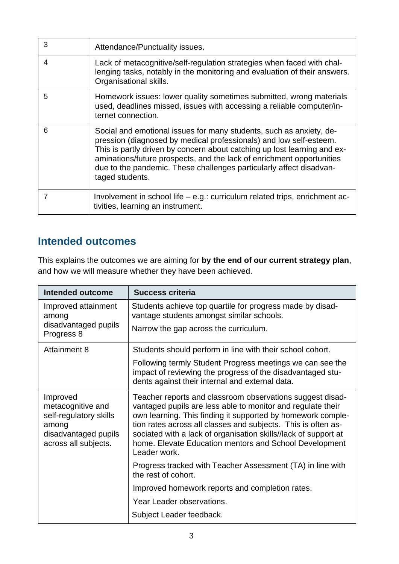| 3 | Attendance/Punctuality issues.                                                                                                                                                                                                                                                                                                                                                           |
|---|------------------------------------------------------------------------------------------------------------------------------------------------------------------------------------------------------------------------------------------------------------------------------------------------------------------------------------------------------------------------------------------|
| 4 | Lack of metacognitive/self-regulation strategies when faced with chal-<br>lenging tasks, notably in the monitoring and evaluation of their answers.<br>Organisational skills.                                                                                                                                                                                                            |
| 5 | Homework issues: lower quality sometimes submitted, wrong materials<br>used, deadlines missed, issues with accessing a reliable computer/in-<br>ternet connection.                                                                                                                                                                                                                       |
| 6 | Social and emotional issues for many students, such as anxiety, de-<br>pression (diagnosed by medical professionals) and low self-esteem.<br>This is partly driven by concern about catching up lost learning and ex-<br>aminations/future prospects, and the lack of enrichment opportunities<br>due to the pandemic. These challenges particularly affect disadvan-<br>taged students. |
|   | Involvement in school life - e.g.: curriculum related trips, enrichment ac-<br>tivities, learning an instrument.                                                                                                                                                                                                                                                                         |

## **Intended outcomes**

This explains the outcomes we are aiming for **by the end of our current strategy plan**, and how we will measure whether they have been achieved.

| Intended outcome                                                                                                 | <b>Success criteria</b>                                                                                                                                                                                                                                                                                                                                                                               |
|------------------------------------------------------------------------------------------------------------------|-------------------------------------------------------------------------------------------------------------------------------------------------------------------------------------------------------------------------------------------------------------------------------------------------------------------------------------------------------------------------------------------------------|
| Improved attainment<br>among                                                                                     | Students achieve top quartile for progress made by disad-<br>vantage students amongst similar schools.                                                                                                                                                                                                                                                                                                |
| disadvantaged pupils<br>Progress 8                                                                               | Narrow the gap across the curriculum.                                                                                                                                                                                                                                                                                                                                                                 |
| Attainment 8                                                                                                     | Students should perform in line with their school cohort.                                                                                                                                                                                                                                                                                                                                             |
|                                                                                                                  | Following termly Student Progress meetings we can see the<br>impact of reviewing the progress of the disadvantaged stu-<br>dents against their internal and external data.                                                                                                                                                                                                                            |
| Improved<br>metacognitive and<br>self-regulatory skills<br>among<br>disadvantaged pupils<br>across all subjects. | Teacher reports and classroom observations suggest disad-<br>vantaged pupils are less able to monitor and regulate their<br>own learning. This finding it supported by homework comple-<br>tion rates across all classes and subjects. This is often as-<br>sociated with a lack of organisation skills//lack of support at<br>home. Elevate Education mentors and School Development<br>Leader work. |
|                                                                                                                  | Progress tracked with Teacher Assessment (TA) in line with<br>the rest of cohort.                                                                                                                                                                                                                                                                                                                     |
|                                                                                                                  | Improved homework reports and completion rates.                                                                                                                                                                                                                                                                                                                                                       |
|                                                                                                                  | Year Leader observations.                                                                                                                                                                                                                                                                                                                                                                             |
|                                                                                                                  | Subject Leader feedback.                                                                                                                                                                                                                                                                                                                                                                              |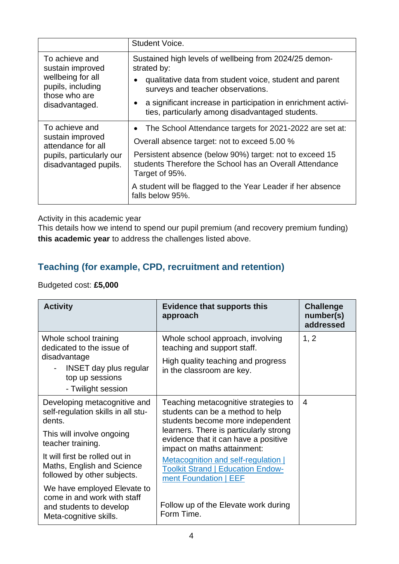|                                                                                                                 | Student Voice.                                                                                                                                                                                                                                                                                                                     |
|-----------------------------------------------------------------------------------------------------------------|------------------------------------------------------------------------------------------------------------------------------------------------------------------------------------------------------------------------------------------------------------------------------------------------------------------------------------|
| To achieve and<br>sustain improved<br>wellbeing for all<br>pupils, including<br>those who are<br>disadvantaged. | Sustained high levels of wellbeing from 2024/25 demon-<br>strated by:<br>qualitative data from student voice, student and parent<br>surveys and teacher observations.<br>a significant increase in participation in enrichment activi-<br>ties, particularly among disadvantaged students.                                         |
| To achieve and<br>sustain improved<br>attendance for all<br>pupils, particularly our<br>disadvantaged pupils.   | The School Attendance targets for 2021-2022 are set at:<br>Overall absence target: not to exceed 5.00 %<br>Persistent absence (below 90%) target: not to exceed 15<br>students Therefore the School has an Overall Attendance<br>Target of 95%.<br>A student will be flagged to the Year Leader if her absence<br>falls below 95%. |

#### Activity in this academic year

This details how we intend to spend our pupil premium (and recovery premium funding) **this academic year** to address the challenges listed above.

### **Teaching (for example, CPD, recruitment and retention)**

#### Budgeted cost: **£5,000**

| <b>Activity</b>                                                                                                                                                  | <b>Evidence that supports this</b><br>approach                                                                                                                                                                                | <b>Challenge</b><br>number(s)<br>addressed |
|------------------------------------------------------------------------------------------------------------------------------------------------------------------|-------------------------------------------------------------------------------------------------------------------------------------------------------------------------------------------------------------------------------|--------------------------------------------|
| Whole school training<br>dedicated to the issue of<br>disadvantage<br><b>INSET day plus regular</b><br>top up sessions<br>- Twilight session                     | Whole school approach, involving<br>teaching and support staff.<br>High quality teaching and progress<br>in the classroom are key.                                                                                            | 1, 2                                       |
| Developing metacognitive and<br>self-regulation skills in all stu-<br>dents.<br>This will involve ongoing<br>teacher training.<br>It will first be rolled out in | Teaching metacognitive strategies to<br>students can be a method to help<br>students become more independent<br>learners. There is particularly strong<br>evidence that it can have a positive<br>impact on maths attainment: | 4                                          |
| Maths, English and Science<br>followed by other subjects.<br>We have employed Elevate to                                                                         | Metacognition and self-regulation  <br><b>Toolkit Strand   Education Endow-</b><br>ment Foundation   EEF                                                                                                                      |                                            |
| come in and work with staff<br>and students to develop<br>Meta-cognitive skills.                                                                                 | Follow up of the Elevate work during<br>Form Time.                                                                                                                                                                            |                                            |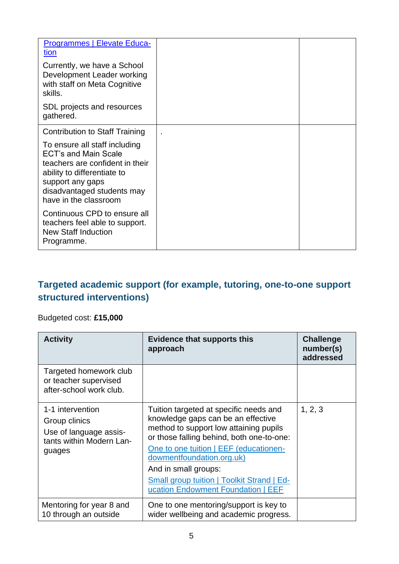| <b>Programmes   Elevate Educa-</b><br><u>tion</u><br>Currently, we have a School<br>Development Leader working<br>with staff on Meta Cognitive<br>skills.                                                                                          |  |
|----------------------------------------------------------------------------------------------------------------------------------------------------------------------------------------------------------------------------------------------------|--|
| SDL projects and resources<br>gathered.                                                                                                                                                                                                            |  |
| <b>Contribution to Staff Training</b><br>To ensure all staff including<br><b>ECT's and Main Scale</b><br>teachers are confident in their<br>ability to differentiate to<br>support any gaps<br>disadvantaged students may<br>have in the classroom |  |
| Continuous CPD to ensure all<br>teachers feel able to support.<br><b>New Staff Induction</b><br>Programme.                                                                                                                                         |  |

### **Targeted academic support (for example, tutoring, one-to-one support structured interventions)**

### Budgeted cost: **£15,000**

| <b>Activity</b>                                                                                   | <b>Evidence that supports this</b><br>approach                                                                                                                                                                                                                                                                                                                | <b>Challenge</b><br>number(s)<br>addressed |
|---------------------------------------------------------------------------------------------------|---------------------------------------------------------------------------------------------------------------------------------------------------------------------------------------------------------------------------------------------------------------------------------------------------------------------------------------------------------------|--------------------------------------------|
| Targeted homework club<br>or teacher supervised<br>after-school work club.                        |                                                                                                                                                                                                                                                                                                                                                               |                                            |
| 1-1 intervention<br>Group clinics<br>Use of language assis-<br>tants within Modern Lan-<br>guages | Tuition targeted at specific needs and<br>knowledge gaps can be an effective<br>method to support low attaining pupils<br>or those falling behind, both one-to-one:<br>One to one tuition   EEF (educationen-<br>dowmentfoundation.org.uk)<br>And in small groups:<br><b>Small group tuition   Toolkit Strand   Ed-</b><br>ucation Endowment Foundation   EEF | 1, 2, 3                                    |
| Mentoring for year 8 and<br>10 through an outside                                                 | One to one mentoring/support is key to<br>wider wellbeing and academic progress.                                                                                                                                                                                                                                                                              |                                            |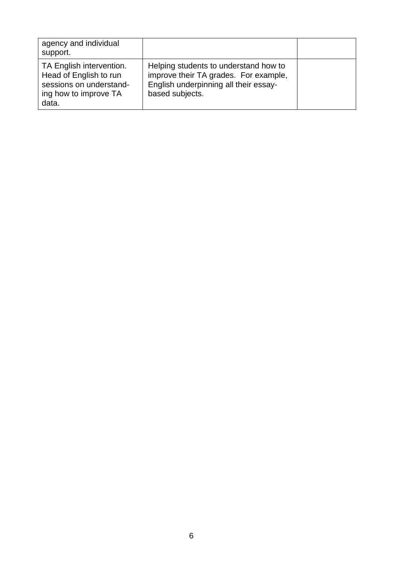| agency and individual<br>support.                                                                               |                                                                                                                                            |  |
|-----------------------------------------------------------------------------------------------------------------|--------------------------------------------------------------------------------------------------------------------------------------------|--|
| TA English intervention.<br>Head of English to run<br>sessions on understand-<br>ing how to improve TA<br>data. | Helping students to understand how to<br>improve their TA grades. For example,<br>English underpinning all their essay-<br>based subjects. |  |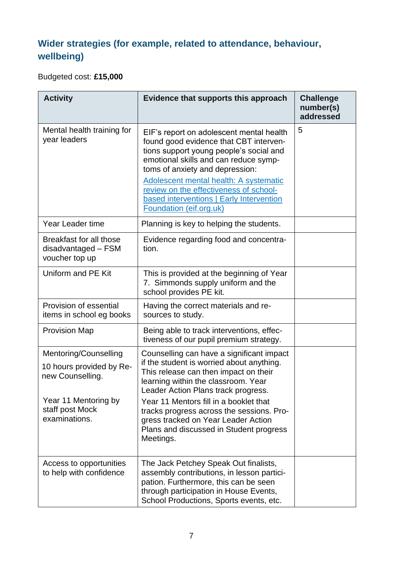## **Wider strategies (for example, related to attendance, behaviour, wellbeing)**

Budgeted cost: **£15,000**

| <b>Activity</b>                                                                                                                   | Evidence that supports this approach                                                                                                                                                                                                                                                                                                                                                                | <b>Challenge</b><br>number(s)<br>addressed |
|-----------------------------------------------------------------------------------------------------------------------------------|-----------------------------------------------------------------------------------------------------------------------------------------------------------------------------------------------------------------------------------------------------------------------------------------------------------------------------------------------------------------------------------------------------|--------------------------------------------|
| Mental health training for<br>year leaders                                                                                        | EIF's report on adolescent mental health<br>found good evidence that CBT interven-<br>tions support young people's social and<br>emotional skills and can reduce symp-<br>toms of anxiety and depression:<br>Adolescent mental health: A systematic<br>review on the effectiveness of school-<br>based interventions   Early Intervention<br>Foundation (eif.org.uk)                                | 5                                          |
| Year Leader time                                                                                                                  | Planning is key to helping the students.                                                                                                                                                                                                                                                                                                                                                            |                                            |
| Breakfast for all those<br>disadvantaged - FSM<br>voucher top up                                                                  | Evidence regarding food and concentra-<br>tion.                                                                                                                                                                                                                                                                                                                                                     |                                            |
| Uniform and PE Kit                                                                                                                | This is provided at the beginning of Year<br>7. Simmonds supply uniform and the<br>school provides PE kit.                                                                                                                                                                                                                                                                                          |                                            |
| Provision of essential<br>items in school eg books                                                                                | Having the correct materials and re-<br>sources to study.                                                                                                                                                                                                                                                                                                                                           |                                            |
| <b>Provision Map</b>                                                                                                              | Being able to track interventions, effec-<br>tiveness of our pupil premium strategy.                                                                                                                                                                                                                                                                                                                |                                            |
| Mentoring/Counselling<br>10 hours provided by Re-<br>new Counselling.<br>Year 11 Mentoring by<br>staff post Mock<br>examinations. | Counselling can have a significant impact<br>if the student is worried about anything.<br>This release can then impact on their<br>learning within the classroom. Year<br>Leader Action Plans track progress.<br>Year 11 Mentors fill in a booklet that<br>tracks progress across the sessions. Pro-<br>gress tracked on Year Leader Action<br>Plans and discussed in Student progress<br>Meetings. |                                            |
| Access to opportunities<br>to help with confidence                                                                                | The Jack Petchey Speak Out finalists,<br>assembly contributions, in lesson partici-<br>pation. Furthermore, this can be seen<br>through participation in House Events,<br>School Productions, Sports events, etc.                                                                                                                                                                                   |                                            |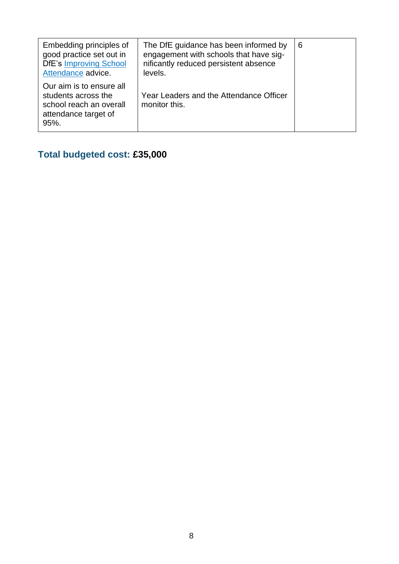| Embedding principles of<br>good practice set out in<br><b>DfE's Improving School</b><br>Attendance advice. | The DfE guidance has been informed by<br>engagement with schools that have sig-<br>nificantly reduced persistent absence<br>levels. | 6 |
|------------------------------------------------------------------------------------------------------------|-------------------------------------------------------------------------------------------------------------------------------------|---|
| Our aim is to ensure all<br>students across the<br>school reach an overall<br>attendance target of<br>95%. | Year Leaders and the Attendance Officer<br>monitor this.                                                                            |   |

## **Total budgeted cost: £35,000**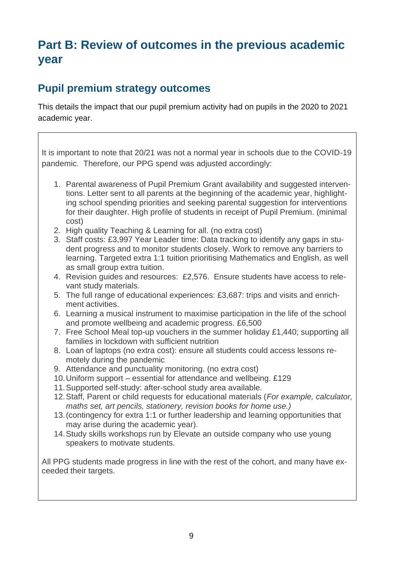# **Part B: Review of outcomes in the previous academic year**

### **Pupil premium strategy outcomes**

This details the impact that our pupil premium activity had on pupils in the 2020 to 2021 academic year.

It is important to note that 20/21 was not a normal year in schools due to the COVID-19 pandemic. Therefore, our PPG spend was adjusted accordingly:

- 1. Parental awareness of Pupil Premium Grant availability and suggested interventions. Letter sent to all parents at the beginning of the academic year, highlighting school spending priorities and seeking parental suggestion for interventions for their daughter. High profile of students in receipt of Pupil Premium. (minimal cost)
- 2. High quality Teaching & Learning for all. (no extra cost)
- 3. Staff costs: £3,997 Year Leader time: Data tracking to identify any gaps in student progress and to monitor students closely. Work to remove any barriers to learning. Targeted extra 1:1 tuition prioritising Mathematics and English, as well as small group extra tuition.
- 4. Revision guides and resources: £2,576. Ensure students have access to relevant study materials.
- 5. The full range of educational experiences: £3,687: trips and visits and enrichment activities.
- 6. Learning a musical instrument to maximise participation in the life of the school and promote wellbeing and academic progress. £6,500
- 7. Free School Meal top-up vouchers in the summer holiday £1,440; supporting all families in lockdown with sufficient nutrition
- 8. Loan of laptops (no extra cost): ensure all students could access lessons remotely during the pandemic
- 9. Attendance and punctuality monitoring. (no extra cost)
- 10.Uniform support essential for attendance and wellbeing. £129
- 11.Supported self-study: after-school study area available.
- 12.Staff, Parent or child requests for educational materials (*For example, calculator, maths set, art pencils, stationery, revision books for home use.)*
- 13.(contingency for extra 1:1 or further leadership and learning opportunities that may arise during the academic year).
- 14.Study skills workshops run by Elevate an outside company who use young speakers to motivate students.

All PPG students made progress in line with the rest of the cohort, and many have exceeded their targets.